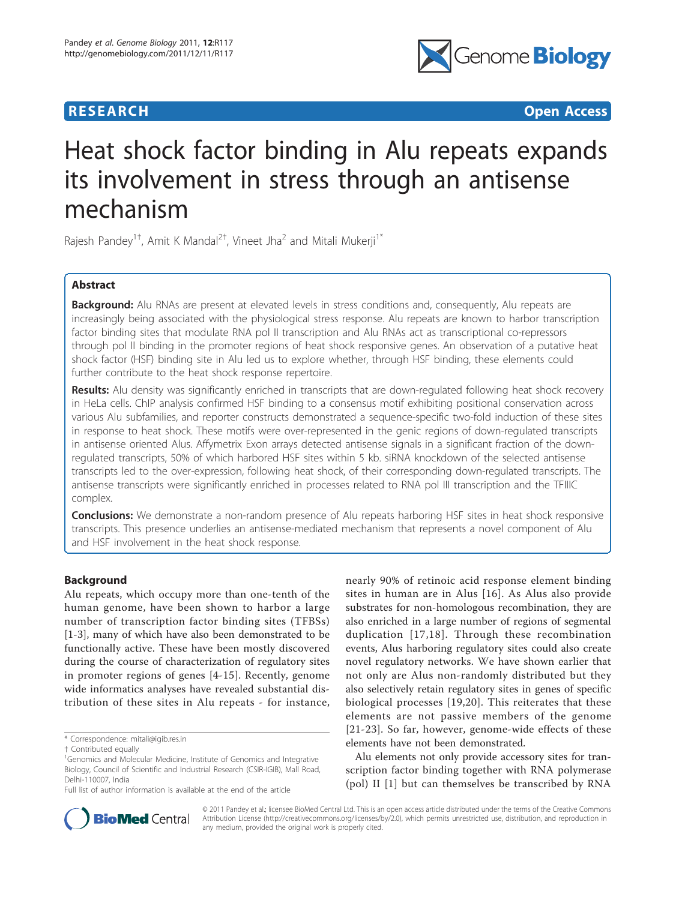

**RESEARCH CHRISTIAN CONSUMING CONTRACT CONSUMING CONSUMING CONSUMING CONSUMING CONSUMING CONSUMING CONSUMING CO** 

# Heat shock factor binding in Alu repeats expands its involvement in stress through an antisense mechanism

Rajesh Pandey<sup>1+</sup>, Amit K Mandal<sup>2+</sup>, Vineet Jha<sup>2</sup> and Mitali Mukerji<sup>1\*</sup>

# Abstract

Background: Alu RNAs are present at elevated levels in stress conditions and, consequently, Alu repeats are increasingly being associated with the physiological stress response. Alu repeats are known to harbor transcription factor binding sites that modulate RNA pol II transcription and Alu RNAs act as transcriptional co-repressors through pol II binding in the promoter regions of heat shock responsive genes. An observation of a putative heat shock factor (HSF) binding site in Alu led us to explore whether, through HSF binding, these elements could further contribute to the heat shock response repertoire.

Results: Alu density was significantly enriched in transcripts that are down-regulated following heat shock recovery in HeLa cells. ChIP analysis confirmed HSF binding to a consensus motif exhibiting positional conservation across various Alu subfamilies, and reporter constructs demonstrated a sequence-specific two-fold induction of these sites in response to heat shock. These motifs were over-represented in the genic regions of down-regulated transcripts in antisense oriented Alus. Affymetrix Exon arrays detected antisense signals in a significant fraction of the downregulated transcripts, 50% of which harbored HSF sites within 5 kb. siRNA knockdown of the selected antisense transcripts led to the over-expression, following heat shock, of their corresponding down-regulated transcripts. The antisense transcripts were significantly enriched in processes related to RNA pol III transcription and the TFIIIC complex.

**Conclusions:** We demonstrate a non-random presence of Alu repeats harboring HSF sites in heat shock responsive transcripts. This presence underlies an antisense-mediated mechanism that represents a novel component of Alu and HSF involvement in the heat shock response.

# Background

Alu repeats, which occupy more than one-tenth of the human genome, have been shown to harbor a large number of transcription factor binding sites (TFBSs) [[1-3](#page-14-0)], many of which have also been demonstrated to be functionally active. These have been mostly discovered during the course of characterization of regulatory sites in promoter regions of genes [[4-](#page-14-0)[15\]](#page-15-0). Recently, genome wide informatics analyses have revealed substantial distribution of these sites in Alu repeats - for instance,

nearly 90% of retinoic acid response element binding sites in human are in Alus [[16\]](#page-15-0). As Alus also provide substrates for non-homologous recombination, they are also enriched in a large number of regions of segmental duplication [[17](#page-15-0),[18\]](#page-15-0). Through these recombination events, Alus harboring regulatory sites could also create novel regulatory networks. We have shown earlier that not only are Alus non-randomly distributed but they also selectively retain regulatory sites in genes of specific biological processes [\[19,20](#page-15-0)]. This reiterates that these elements are not passive members of the genome [[21](#page-15-0)-[23](#page-15-0)]. So far, however, genome-wide effects of these elements have not been demonstrated.

Alu elements not only provide accessory sites for transcription factor binding together with RNA polymerase (pol) II [[1](#page-14-0)] but can themselves be transcribed by RNA



© 2011 Pandey et al.; licensee BioMed Central Ltd. This is an open access article distributed under the terms of the Creative Commons Attribution License [\(http://creativecommons.org/licenses/by/2.0](http://creativecommons.org/licenses/by/2.0)), which permits unrestricted use, distribution, and reproduction in any medium, provided the original work is properly cited.

<sup>\*</sup> Correspondence: [mitali@igib.res.in](mailto:mitali@igib.res.in)

<sup>†</sup> Contributed equally

<sup>&</sup>lt;sup>1</sup>Genomics and Molecular Medicine, Institute of Genomics and Integrative Biology, Council of Scientific and Industrial Research (CSIR-IGIB), Mall Road, Delhi-110007, India

Full list of author information is available at the end of the article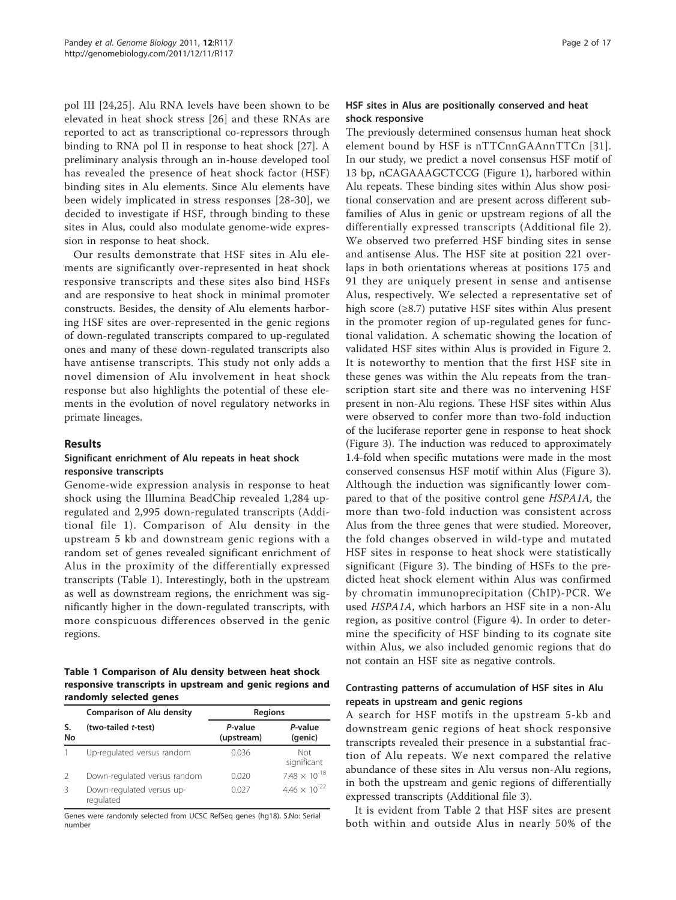pol III [[24,25](#page-15-0)]. Alu RNA levels have been shown to be elevated in heat shock stress [[26](#page-15-0)] and these RNAs are reported to act as transcriptional co-repressors through binding to RNA pol II in response to heat shock [\[27\]](#page-15-0). A preliminary analysis through an in-house developed tool has revealed the presence of heat shock factor (HSF) binding sites in Alu elements. Since Alu elements have been widely implicated in stress responses [[28](#page-15-0)-[30\]](#page-15-0), we decided to investigate if HSF, through binding to these sites in Alus, could also modulate genome-wide expression in response to heat shock.

Our results demonstrate that HSF sites in Alu elements are significantly over-represented in heat shock responsive transcripts and these sites also bind HSFs and are responsive to heat shock in minimal promoter constructs. Besides, the density of Alu elements harboring HSF sites are over-represented in the genic regions of down-regulated transcripts compared to up-regulated ones and many of these down-regulated transcripts also have antisense transcripts. This study not only adds a novel dimension of Alu involvement in heat shock response but also highlights the potential of these elements in the evolution of novel regulatory networks in primate lineages.

#### Results

#### Significant enrichment of Alu repeats in heat shock responsive transcripts

Genome-wide expression analysis in response to heat shock using the Illumina BeadChip revealed 1,284 upregulated and 2,995 down-regulated transcripts (Additional file [1](#page-14-0)). Comparison of Alu density in the upstream 5 kb and downstream genic regions with a random set of genes revealed significant enrichment of Alus in the proximity of the differentially expressed transcripts (Table 1). Interestingly, both in the upstream as well as downstream regions, the enrichment was significantly higher in the down-regulated transcripts, with more conspicuous differences observed in the genic regions.

#### Table 1 Comparison of Alu density between heat shock responsive transcripts in upstream and genic regions and randomly selected genes

|               | <b>Comparison of Alu density</b>       | <b>Regions</b>        |                        |  |
|---------------|----------------------------------------|-----------------------|------------------------|--|
| S.<br>No      | (two-tailed t-test)                    | P-value<br>(upstream) | P-value<br>(genic)     |  |
|               | Up-regulated versus random             | 0.036                 | Not<br>significant     |  |
| $\mathcal{P}$ | Down-regulated versus random           | 0.020                 | $7.48 \times 10^{-18}$ |  |
| Κ             | Down-regulated versus up-<br>regulated | 0027                  | $4.46 \times 10^{-22}$ |  |

Genes were randomly selected from UCSC RefSeq genes (hg18). S.No: Serial number

# HSF sites in Alus are positionally conserved and heat shock responsive

The previously determined consensus human heat shock element bound by HSF is nTTCnnGAAnnTTCn [[31](#page-15-0)]. In our study, we predict a novel consensus HSF motif of 13 bp, nCAGAAAGCTCCG (Figure [1](#page-2-0)), harbored within Alu repeats. These binding sites within Alus show positional conservation and are present across different subfamilies of Alus in genic or upstream regions of all the differentially expressed transcripts (Additional file [2](#page-14-0)). We observed two preferred HSF binding sites in sense and antisense Alus. The HSF site at position 221 overlaps in both orientations whereas at positions 175 and 91 they are uniquely present in sense and antisense Alus, respectively. We selected a representative set of high score (≥8.7) putative HSF sites within Alus present in the promoter region of up-regulated genes for functional validation. A schematic showing the location of validated HSF sites within Alus is provided in Figure [2](#page-2-0). It is noteworthy to mention that the first HSF site in these genes was within the Alu repeats from the transcription start site and there was no intervening HSF present in non-Alu regions. These HSF sites within Alus were observed to confer more than two-fold induction of the luciferase reporter gene in response to heat shock (Figure [3](#page-3-0)). The induction was reduced to approximately 1.4-fold when specific mutations were made in the most conserved consensus HSF motif within Alus (Figure [3](#page-3-0)). Although the induction was significantly lower compared to that of the positive control gene HSPA1A, the more than two-fold induction was consistent across Alus from the three genes that were studied. Moreover, the fold changes observed in wild-type and mutated HSF sites in response to heat shock were statistically significant (Figure [3](#page-3-0)). The binding of HSFs to the predicted heat shock element within Alus was confirmed by chromatin immunoprecipitation (ChIP)-PCR. We used HSPA1A, which harbors an HSF site in a non-Alu region, as positive control (Figure [4\)](#page-4-0). In order to determine the specificity of HSF binding to its cognate site within Alus, we also included genomic regions that do not contain an HSF site as negative controls.

## Contrasting patterns of accumulation of HSF sites in Alu repeats in upstream and genic regions

A search for HSF motifs in the upstream 5-kb and downstream genic regions of heat shock responsive transcripts revealed their presence in a substantial fraction of Alu repeats. We next compared the relative abundance of these sites in Alu versus non-Alu regions, in both the upstream and genic regions of differentially expressed transcripts (Additional file [3](#page-14-0)).

It is evident from Table [2](#page-4-0) that HSF sites are present both within and outside Alus in nearly 50% of the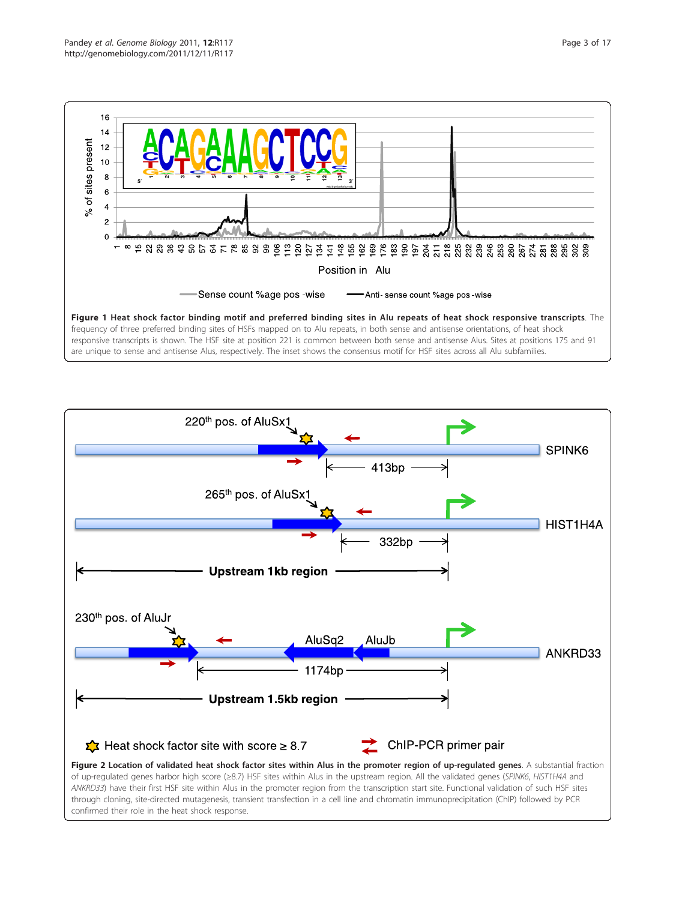<span id="page-2-0"></span>

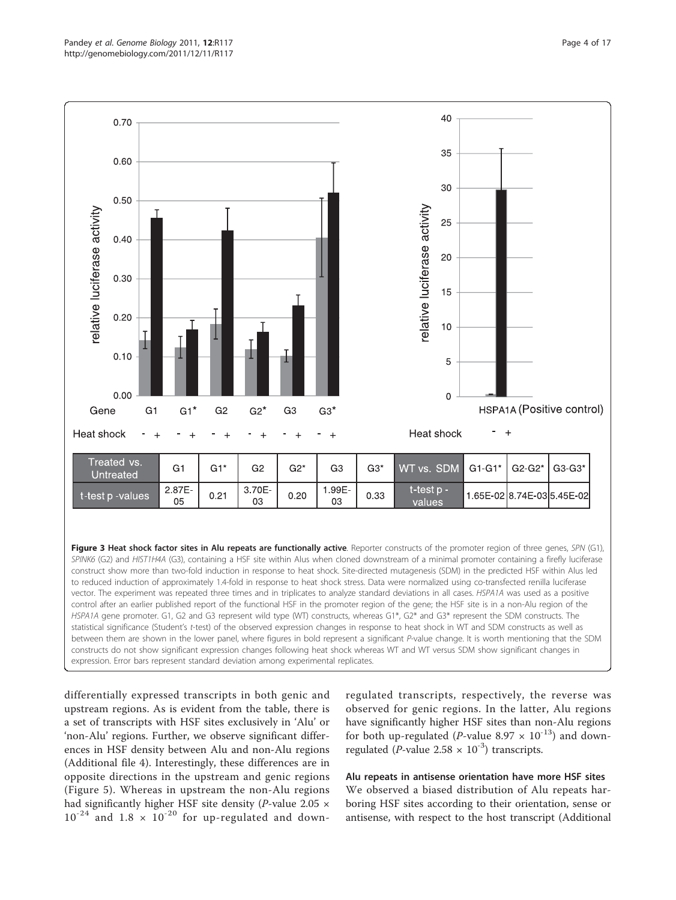<span id="page-3-0"></span>

statistical significance (Student's t-test) of the observed expression changes in response to heat shock in WT and SDM constructs as well as between them are shown in the lower panel, where figures in bold represent a significant P-value change. It is worth mentioning that the SDM constructs do not show significant expression changes following heat shock whereas WT and WT versus SDM show significant changes in expression. Error bars represent standard deviation among experimental replicates.

differentially expressed transcripts in both genic and upstream regions. As is evident from the table, there is a set of transcripts with HSF sites exclusively in 'Alu' or 'non-Alu' regions. Further, we observe significant differences in HSF density between Alu and non-Alu regions (Additional file [4\)](#page-14-0). Interestingly, these differences are in opposite directions in the upstream and genic regions (Figure [5](#page-5-0)). Whereas in upstream the non-Alu regions had significantly higher HSF site density (P-value 2.05  $\times$  $10^{-24}$  and  $1.8 \times 10^{-20}$  for up-regulated and down-

regulated transcripts, respectively, the reverse was observed for genic regions. In the latter, Alu regions have significantly higher HSF sites than non-Alu regions for both up-regulated (*P*-value 8.97  $\times$  10<sup>-13</sup>) and downregulated (P-value  $2.58 \times 10^{-3}$ ) transcripts.

#### Alu repeats in antisense orientation have more HSF sites

We observed a biased distribution of Alu repeats harboring HSF sites according to their orientation, sense or antisense, with respect to the host transcript (Additional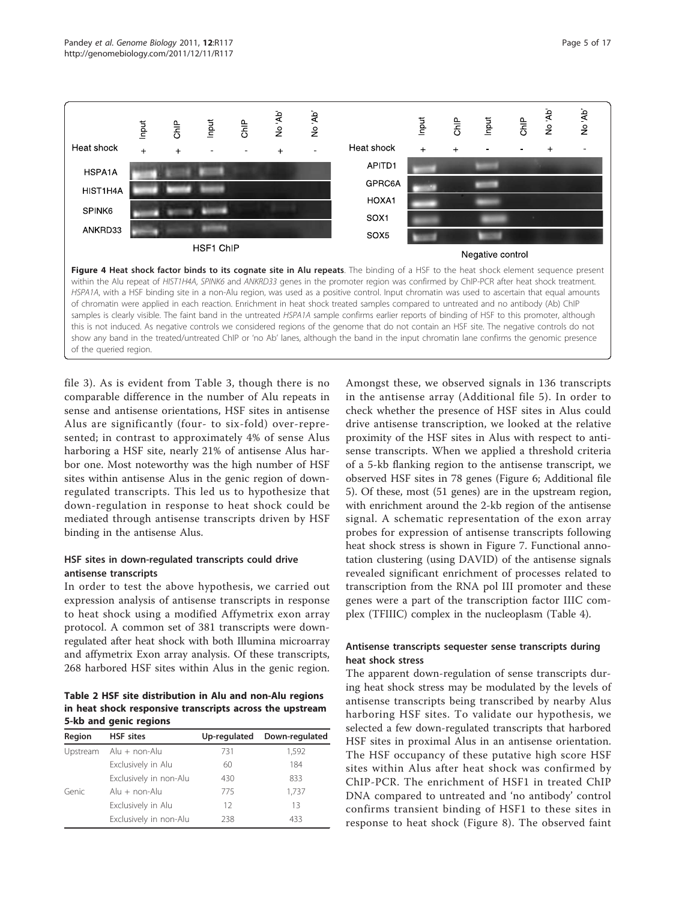<span id="page-4-0"></span>

of chromatin were applied in each reaction. Enrichment in heat shock treated samples compared to untreated and no antibody (Ab) ChIP samples is clearly visible. The faint band in the untreated HSPA1A sample confirms earlier reports of binding of HSF to this promoter, although this is not induced. As negative controls we considered regions of the genome that do not contain an HSF site. The negative controls do not show any band in the treated/untreated ChIP or 'no Ab' lanes, although the band in the input chromatin lane confirms the genomic presence of the queried region.

file [3\)](#page-14-0). As is evident from Table [3](#page-5-0), though there is no comparable difference in the number of Alu repeats in sense and antisense orientations, HSF sites in antisense Alus are significantly (four- to six-fold) over-represented; in contrast to approximately 4% of sense Alus harboring a HSF site, nearly 21% of antisense Alus harbor one. Most noteworthy was the high number of HSF sites within antisense Alus in the genic region of downregulated transcripts. This led us to hypothesize that down-regulation in response to heat shock could be mediated through antisense transcripts driven by HSF binding in the antisense Alus.

## HSF sites in down-regulated transcripts could drive antisense transcripts

In order to test the above hypothesis, we carried out expression analysis of antisense transcripts in response to heat shock using a modified Affymetrix exon array protocol. A common set of 381 transcripts were downregulated after heat shock with both Illumina microarray and affymetrix Exon array analysis. Of these transcripts, 268 harbored HSF sites within Alus in the genic region.

Table 2 HSF site distribution in Alu and non-Alu regions in heat shock responsive transcripts across the upstream 5-kb and genic regions

| Region   | <b>HSF</b> sites         |     | Up-regulated Down-regulated |
|----------|--------------------------|-----|-----------------------------|
| Upstream | $Alu + non-Alu$          | 731 | 1,592                       |
|          | Exclusively in Alu       | 60  | 184                         |
|          | Exclusively in non-Alu   | 430 | 833                         |
| Genic    | $\mathsf{Alu}$ + non-Alu | 775 | 1.737                       |
|          | Exclusively in Alu       | 12  | 13                          |
|          | Exclusively in non-Alu   | 238 | 433                         |

Amongst these, we observed signals in 136 transcripts in the antisense array (Additional file [5](#page-14-0)). In order to check whether the presence of HSF sites in Alus could drive antisense transcription, we looked at the relative proximity of the HSF sites in Alus with respect to antisense transcripts. When we applied a threshold criteria of a 5-kb flanking region to the antisense transcript, we observed HSF sites in 78 genes (Figure [6](#page-6-0); Additional file [5\)](#page-14-0). Of these, most (51 genes) are in the upstream region, with enrichment around the 2-kb region of the antisense signal. A schematic representation of the exon array probes for expression of antisense transcripts following heat shock stress is shown in Figure [7.](#page-6-0) Functional annotation clustering (using DAVID) of the antisense signals revealed significant enrichment of processes related to transcription from the RNA pol III promoter and these genes were a part of the transcription factor IIIC complex (TFIIIC) complex in the nucleoplasm (Table [4\)](#page-7-0).

# Antisense transcripts sequester sense transcripts during heat shock stress

The apparent down-regulation of sense transcripts during heat shock stress may be modulated by the levels of antisense transcripts being transcribed by nearby Alus harboring HSF sites. To validate our hypothesis, we selected a few down-regulated transcripts that harbored HSF sites in proximal Alus in an antisense orientation. The HSF occupancy of these putative high score HSF sites within Alus after heat shock was confirmed by ChIP-PCR. The enrichment of HSF1 in treated ChIP DNA compared to untreated and 'no antibody' control confirms transient binding of HSF1 to these sites in response to heat shock (Figure [8\)](#page-7-0). The observed faint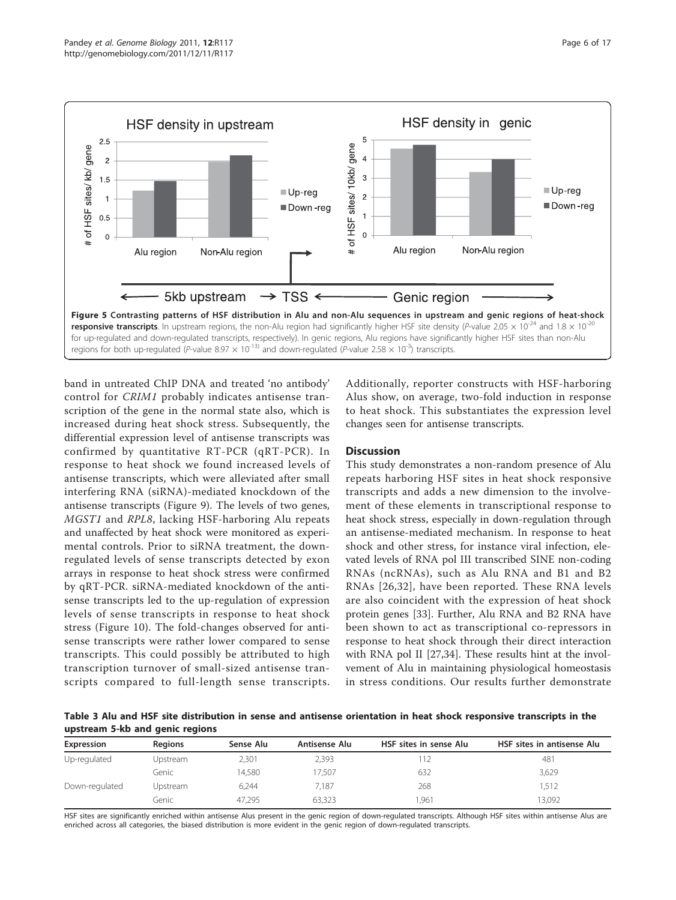<span id="page-5-0"></span>

band in untreated ChIP DNA and treated 'no antibody' control for CRIM1 probably indicates antisense transcription of the gene in the normal state also, which is increased during heat shock stress. Subsequently, the differential expression level of antisense transcripts was confirmed by quantitative RT-PCR (qRT-PCR). In response to heat shock we found increased levels of antisense transcripts, which were alleviated after small interfering RNA (siRNA)-mediated knockdown of the antisense transcripts (Figure [9\)](#page-8-0). The levels of two genes, MGST1 and RPL8, lacking HSF-harboring Alu repeats and unaffected by heat shock were monitored as experimental controls. Prior to siRNA treatment, the downregulated levels of sense transcripts detected by exon arrays in response to heat shock stress were confirmed by qRT-PCR. siRNA-mediated knockdown of the antisense transcripts led to the up-regulation of expression levels of sense transcripts in response to heat shock stress (Figure [10\)](#page-9-0). The fold-changes observed for antisense transcripts were rather lower compared to sense transcripts. This could possibly be attributed to high transcription turnover of small-sized antisense transcripts compared to full-length sense transcripts.

Additionally, reporter constructs with HSF-harboring Alus show, on average, two-fold induction in response to heat shock. This substantiates the expression level changes seen for antisense transcripts.

#### **Discussion**

This study demonstrates a non-random presence of Alu repeats harboring HSF sites in heat shock responsive transcripts and adds a new dimension to the involvement of these elements in transcriptional response to heat shock stress, especially in down-regulation through an antisense-mediated mechanism. In response to heat shock and other stress, for instance viral infection, elevated levels of RNA pol III transcribed SINE non-coding RNAs (ncRNAs), such as Alu RNA and B1 and B2 RNAs [[26,32](#page-15-0)], have been reported. These RNA levels are also coincident with the expression of heat shock protein genes [[33\]](#page-15-0). Further, Alu RNA and B2 RNA have been shown to act as transcriptional co-repressors in response to heat shock through their direct interaction with RNA pol II [\[27,34](#page-15-0)]. These results hint at the involvement of Alu in maintaining physiological homeostasis in stress conditions. Our results further demonstrate

Table 3 Alu and HSF site distribution in sense and antisense orientation in heat shock responsive transcripts in the upstream 5-kb and genic regions

| Expression     | <b>Regions</b> | Sense Alu | Antisense Alu | HSF sites in sense Alu | HSF sites in antisense Alu |
|----------------|----------------|-----------|---------------|------------------------|----------------------------|
| Up-regulated   | Upstream       | 2,301     | 2,393         |                        | 481                        |
|                | Genic          | 14.580    | 7.507         | 632                    | 3,629                      |
| Down-regulated | Upstream       | 6.244     | 7.187         | 268                    | 1,512                      |
|                | Genic          | 47.295    | 63,323        | ,961                   | 13,092                     |

HSF sites are significantly enriched within antisense Alus present in the genic region of down-regulated transcripts. Although HSF sites within antisense Alus are enriched across all categories, the biased distribution is more evident in the genic region of down-regulated transcripts.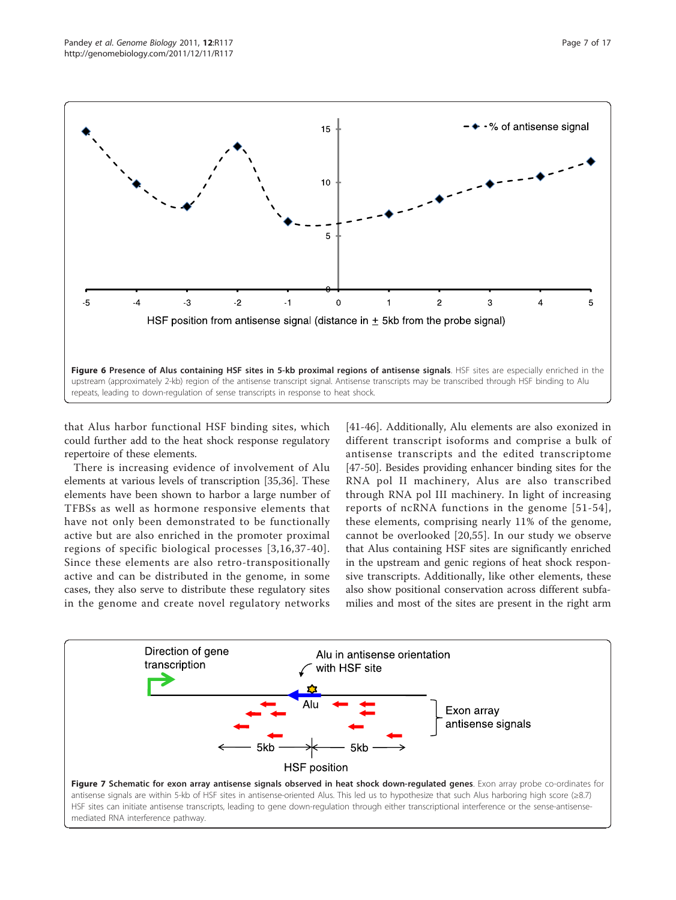<span id="page-6-0"></span>

that Alus harbor functional HSF binding sites, which could further add to the heat shock response regulatory repertoire of these elements.

There is increasing evidence of involvement of Alu elements at various levels of transcription [[35,36](#page-15-0)]. These elements have been shown to harbor a large number of TFBSs as well as hormone responsive elements that have not only been demonstrated to be functionally active but are also enriched in the promoter proximal regions of specific biological processes [[3,](#page-14-0)[16](#page-15-0),[37](#page-15-0)-[40\]](#page-15-0). Since these elements are also retro-transpositionally active and can be distributed in the genome, in some cases, they also serve to distribute these regulatory sites in the genome and create novel regulatory networks

[[41-46](#page-15-0)]. Additionally, Alu elements are also exonized in different transcript isoforms and comprise a bulk of antisense transcripts and the edited transcriptome [[47-50](#page-15-0)]. Besides providing enhancer binding sites for the RNA pol II machinery, Alus are also transcribed through RNA pol III machinery. In light of increasing reports of ncRNA functions in the genome [\[51](#page-15-0)-[54\]](#page-15-0), these elements, comprising nearly 11% of the genome, cannot be overlooked [[20,55](#page-15-0)]. In our study we observe that Alus containing HSF sites are significantly enriched in the upstream and genic regions of heat shock responsive transcripts. Additionally, like other elements, these also show positional conservation across different subfamilies and most of the sites are present in the right arm

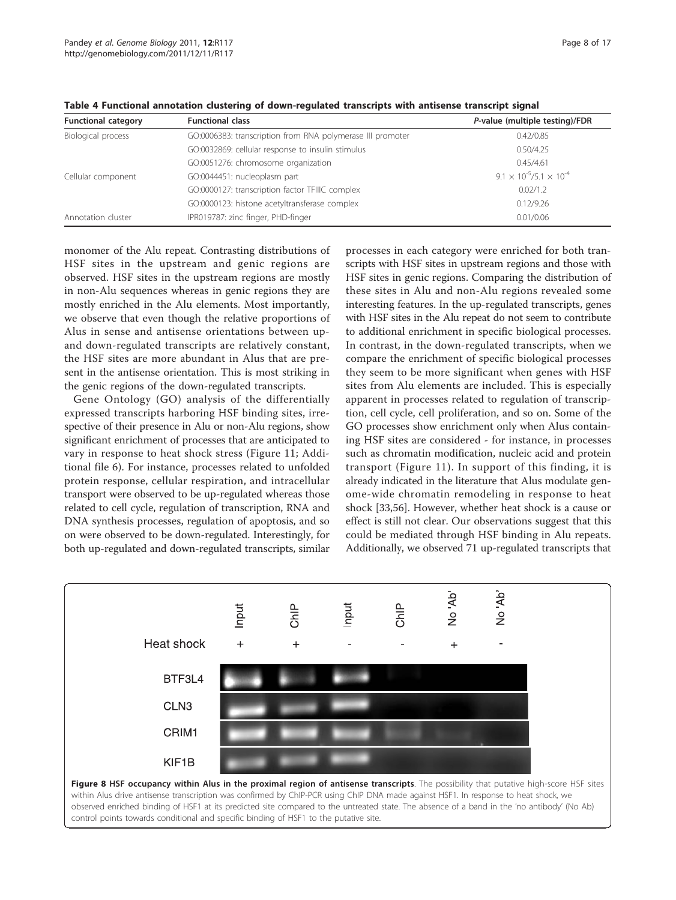| <b>Functional category</b> | <b>Functional class</b>                                    | P-value (multiple testing)/FDR             |
|----------------------------|------------------------------------------------------------|--------------------------------------------|
| Biological process         | GO:0006383: transcription from RNA polymerase III promoter | 0.42/0.85                                  |
|                            | GO:0032869: cellular response to insulin stimulus          | 0.50/4.25                                  |
|                            | GO:0051276: chromosome organization                        | 0.45/4.61                                  |
| Cellular component         | GO:0044451: nucleoplasm part                               | $9.1 \times 10^{-5}$ /5.1 $\times 10^{-4}$ |
|                            | GO:0000127: transcription factor TFIIIC complex            | 0.02/1.2                                   |
|                            | GO:0000123: histone acetyltransferase complex              | 0.12/9.26                                  |
| Annotation cluster         | IPR019787: zinc finger, PHD-finger                         | 0.01/0.06                                  |

<span id="page-7-0"></span>Table 4 Functional annotation clustering of down-regulated transcripts with antisense transcript signal

monomer of the Alu repeat. Contrasting distributions of HSF sites in the upstream and genic regions are observed. HSF sites in the upstream regions are mostly in non-Alu sequences whereas in genic regions they are mostly enriched in the Alu elements. Most importantly, we observe that even though the relative proportions of Alus in sense and antisense orientations between upand down-regulated transcripts are relatively constant, the HSF sites are more abundant in Alus that are present in the antisense orientation. This is most striking in the genic regions of the down-regulated transcripts.

Gene Ontology (GO) analysis of the differentially expressed transcripts harboring HSF binding sites, irrespective of their presence in Alu or non-Alu regions, show significant enrichment of processes that are anticipated to vary in response to heat shock stress (Figure [11;](#page-10-0) Additional file [6\)](#page-14-0). For instance, processes related to unfolded protein response, cellular respiration, and intracellular transport were observed to be up-regulated whereas those related to cell cycle, regulation of transcription, RNA and DNA synthesis processes, regulation of apoptosis, and so on were observed to be down-regulated. Interestingly, for both up-regulated and down-regulated transcripts, similar

processes in each category were enriched for both transcripts with HSF sites in upstream regions and those with HSF sites in genic regions. Comparing the distribution of these sites in Alu and non-Alu regions revealed some interesting features. In the up-regulated transcripts, genes with HSF sites in the Alu repeat do not seem to contribute to additional enrichment in specific biological processes. In contrast, in the down-regulated transcripts, when we compare the enrichment of specific biological processes they seem to be more significant when genes with HSF sites from Alu elements are included. This is especially apparent in processes related to regulation of transcription, cell cycle, cell proliferation, and so on. Some of the GO processes show enrichment only when Alus containing HSF sites are considered - for instance, in processes such as chromatin modification, nucleic acid and protein transport (Figure [11](#page-10-0)). In support of this finding, it is already indicated in the literature that Alus modulate genome-wide chromatin remodeling in response to heat shock [\[33,56\]](#page-15-0). However, whether heat shock is a cause or effect is still not clear. Our observations suggest that this could be mediated through HSF binding in Alu repeats. Additionally, we observed 71 up-regulated transcripts that



within Alus drive antisense transcription was confirmed by ChIP-PCR using ChIP DNA made against HSF1. In response to heat shock, we observed enriched binding of HSF1 at its predicted site compared to the untreated state. The absence of a band in the 'no antibody' (No Ab) control points towards conditional and specific binding of HSF1 to the putative site.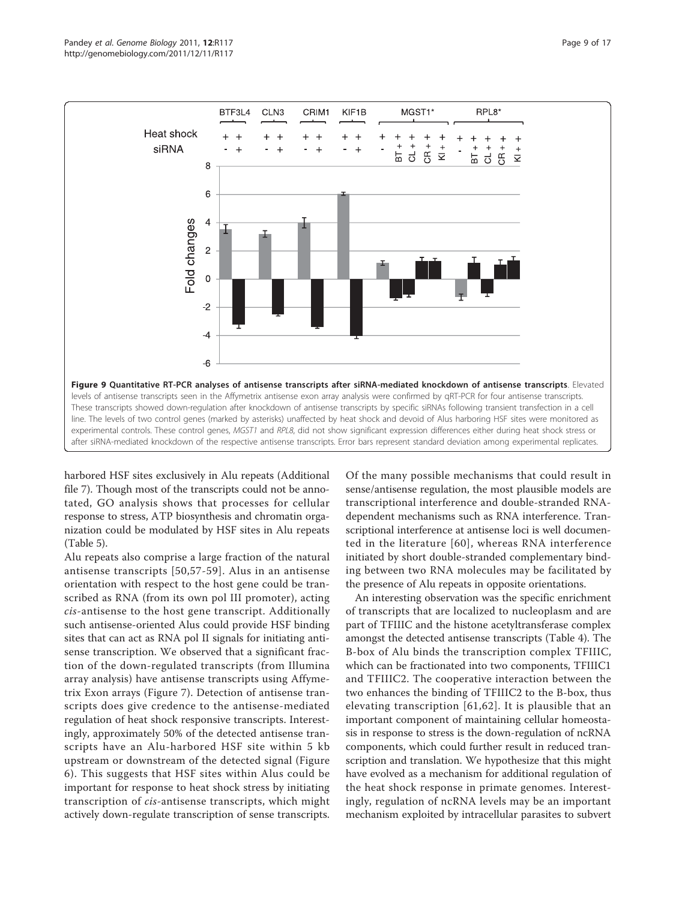<span id="page-8-0"></span>

harbored HSF sites exclusively in Alu repeats (Additional file [7](#page-14-0)). Though most of the transcripts could not be annotated, GO analysis shows that processes for cellular response to stress, ATP biosynthesis and chromatin organization could be modulated by HSF sites in Alu repeats (Table [5\)](#page-10-0).

Alu repeats also comprise a large fraction of the natural antisense transcripts [[50,57-](#page-15-0)[59](#page-16-0)]. Alus in an antisense orientation with respect to the host gene could be transcribed as RNA (from its own pol III promoter), acting cis-antisense to the host gene transcript. Additionally such antisense-oriented Alus could provide HSF binding sites that can act as RNA pol II signals for initiating antisense transcription. We observed that a significant fraction of the down-regulated transcripts (from Illumina array analysis) have antisense transcripts using Affymetrix Exon arrays (Figure [7\)](#page-6-0). Detection of antisense transcripts does give credence to the antisense-mediated regulation of heat shock responsive transcripts. Interestingly, approximately 50% of the detected antisense transcripts have an Alu-harbored HSF site within 5 kb upstream or downstream of the detected signal (Figure [6\)](#page-6-0). This suggests that HSF sites within Alus could be important for response to heat shock stress by initiating transcription of cis-antisense transcripts, which might actively down-regulate transcription of sense transcripts.

Of the many possible mechanisms that could result in sense/antisense regulation, the most plausible models are transcriptional interference and double-stranded RNAdependent mechanisms such as RNA interference. Transcriptional interference at antisense loci is well documented in the literature [\[60](#page-16-0)], whereas RNA interference initiated by short double-stranded complementary binding between two RNA molecules may be facilitated by the presence of Alu repeats in opposite orientations.

An interesting observation was the specific enrichment of transcripts that are localized to nucleoplasm and are part of TFIIIC and the histone acetyltransferase complex amongst the detected antisense transcripts (Table [4](#page-7-0)). The B-box of Alu binds the transcription complex TFIIIC, which can be fractionated into two components, TFIIIC1 and TFIIIC2. The cooperative interaction between the two enhances the binding of TFIIIC2 to the B-box, thus elevating transcription [[61](#page-16-0),[62](#page-16-0)]. It is plausible that an important component of maintaining cellular homeostasis in response to stress is the down-regulation of ncRNA components, which could further result in reduced transcription and translation. We hypothesize that this might have evolved as a mechanism for additional regulation of the heat shock response in primate genomes. Interestingly, regulation of ncRNA levels may be an important mechanism exploited by intracellular parasites to subvert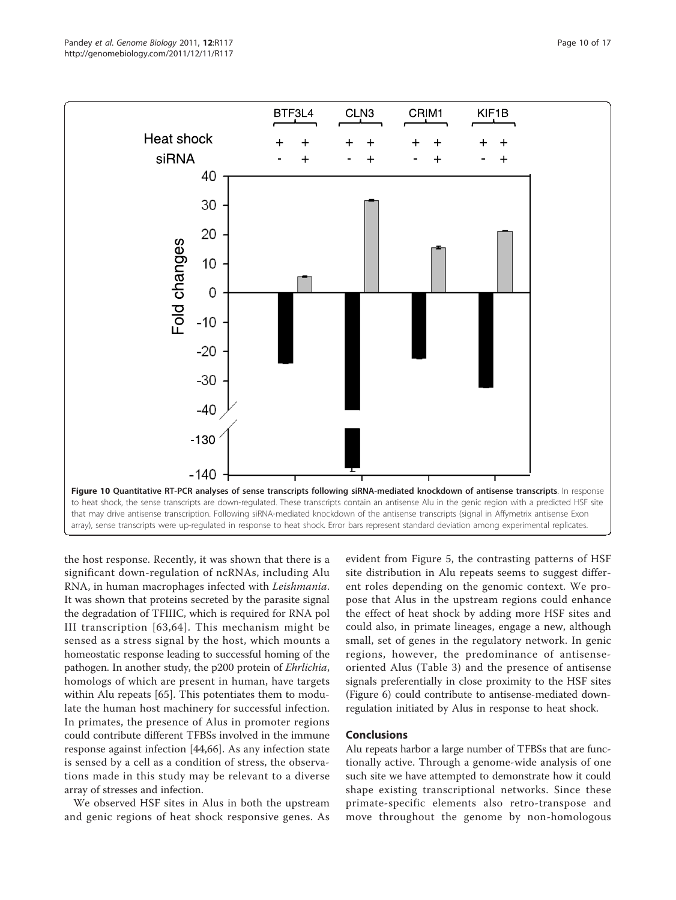<span id="page-9-0"></span>

the host response. Recently, it was shown that there is a significant down-regulation of ncRNAs, including Alu RNA, in human macrophages infected with Leishmania. It was shown that proteins secreted by the parasite signal the degradation of TFIIIC, which is required for RNA pol III transcription [[63,64\]](#page-16-0). This mechanism might be sensed as a stress signal by the host, which mounts a homeostatic response leading to successful homing of the pathogen. In another study, the p200 protein of Ehrlichia, homologs of which are present in human, have targets within Alu repeats [\[65](#page-16-0)]. This potentiates them to modulate the human host machinery for successful infection. In primates, the presence of Alus in promoter regions could contribute different TFBSs involved in the immune response against infection [\[44](#page-15-0),[66\]](#page-16-0). As any infection state is sensed by a cell as a condition of stress, the observations made in this study may be relevant to a diverse array of stresses and infection.

We observed HSF sites in Alus in both the upstream and genic regions of heat shock responsive genes. As

evident from Figure [5,](#page-5-0) the contrasting patterns of HSF site distribution in Alu repeats seems to suggest different roles depending on the genomic context. We propose that Alus in the upstream regions could enhance the effect of heat shock by adding more HSF sites and could also, in primate lineages, engage a new, although small, set of genes in the regulatory network. In genic regions, however, the predominance of antisenseoriented Alus (Table [3](#page-5-0)) and the presence of antisense signals preferentially in close proximity to the HSF sites (Figure [6\)](#page-6-0) could contribute to antisense-mediated downregulation initiated by Alus in response to heat shock.

#### Conclusions

Alu repeats harbor a large number of TFBSs that are functionally active. Through a genome-wide analysis of one such site we have attempted to demonstrate how it could shape existing transcriptional networks. Since these primate-specific elements also retro-transpose and move throughout the genome by non-homologous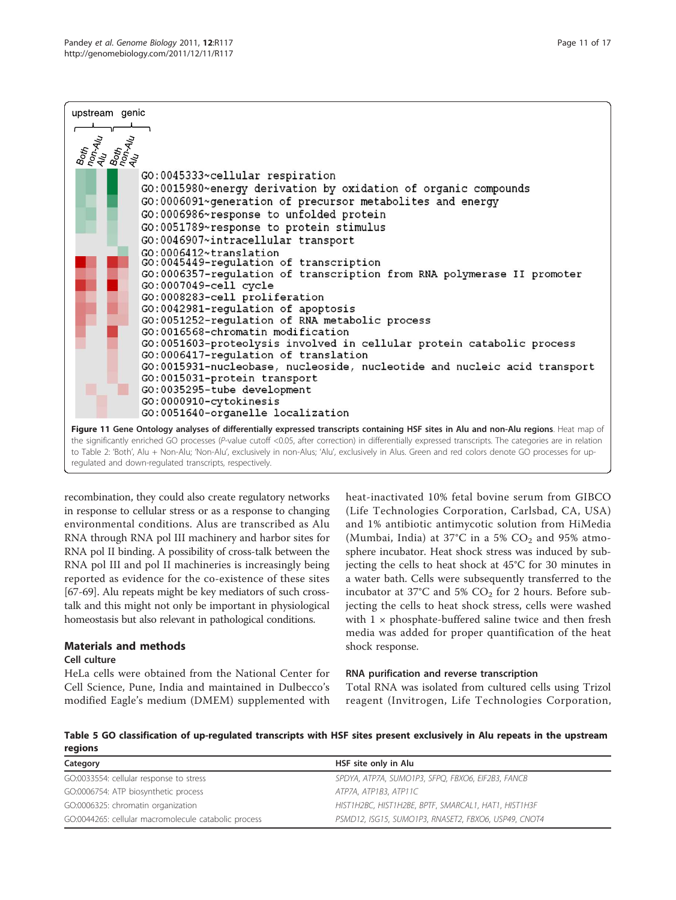<span id="page-10-0"></span>

recombination, they could also create regulatory networks in response to cellular stress or as a response to changing environmental conditions. Alus are transcribed as Alu RNA through RNA pol III machinery and harbor sites for RNA pol II binding. A possibility of cross-talk between the RNA pol III and pol II machineries is increasingly being reported as evidence for the co-existence of these sites [[67](#page-16-0)-[69](#page-16-0)]. Alu repeats might be key mediators of such crosstalk and this might not only be important in physiological homeostasis but also relevant in pathological conditions.

# Materials and methods

#### Cell culture

HeLa cells were obtained from the National Center for Cell Science, Pune, India and maintained in Dulbecco's modified Eagle's medium (DMEM) supplemented with

heat-inactivated 10% fetal bovine serum from GIBCO (Life Technologies Corporation, Carlsbad, CA, USA) and 1% antibiotic antimycotic solution from HiMedia (Mumbai, India) at  $37^{\circ}$ C in a 5% CO<sub>2</sub> and 95% atmosphere incubator. Heat shock stress was induced by subjecting the cells to heat shock at 45°C for 30 minutes in a water bath. Cells were subsequently transferred to the incubator at 37 $\degree$ C and 5% CO<sub>2</sub> for 2 hours. Before subjecting the cells to heat shock stress, cells were washed with  $1 \times$  phosphate-buffered saline twice and then fresh media was added for proper quantification of the heat shock response.

#### RNA purification and reverse transcription

Total RNA was isolated from cultured cells using Trizol reagent (Invitrogen, Life Technologies Corporation,

Table 5 GO classification of up-regulated transcripts with HSF sites present exclusively in Alu repeats in the upstream regions

| Category                                             | HSF site only in Alu                                 |
|------------------------------------------------------|------------------------------------------------------|
| GO:0033554: cellular response to stress              | SPDYA, ATP7A, SUMO1P3, SFPQ, FBXO6, EIF2B3, FANCB    |
| GO:0006754: ATP biosynthetic process                 | ATP7A, ATP1B3, ATP11C                                |
| GO:0006325: chromatin organization                   | HIST1H2BC, HIST1H2BE, BPTF, SMARCAL1, HAT1, HIST1H3F |
| GO:0044265: cellular macromolecule catabolic process | PSMD12, ISG15, SUMO1P3, RNASET2, FBXO6, USP49, CNOT4 |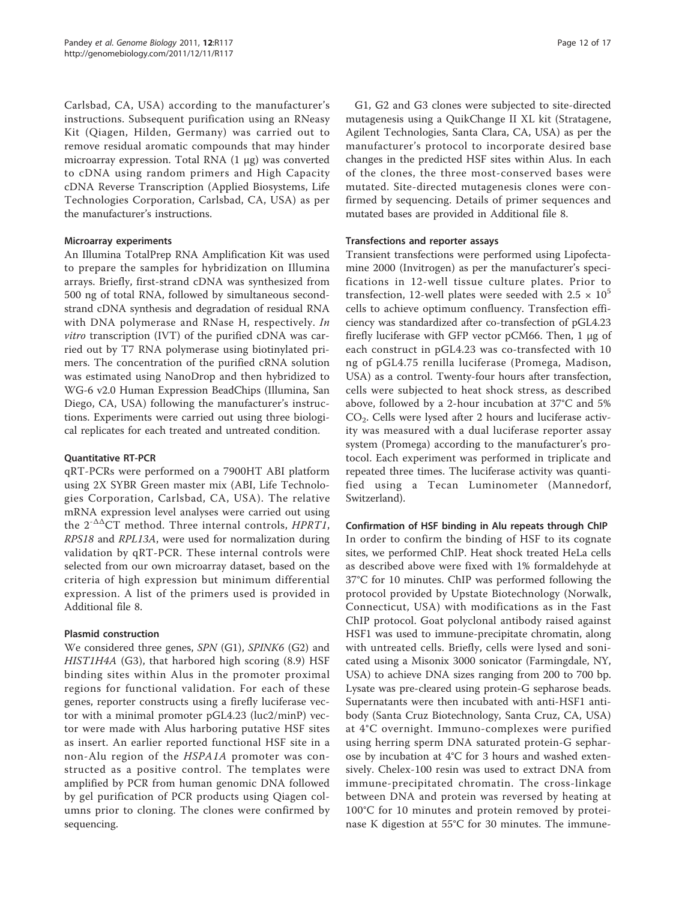Carlsbad, CA, USA) according to the manufacturer's instructions. Subsequent purification using an RNeasy Kit (Qiagen, Hilden, Germany) was carried out to remove residual aromatic compounds that may hinder microarray expression. Total RNA (1 μg) was converted to cDNA using random primers and High Capacity cDNA Reverse Transcription (Applied Biosystems, Life Technologies Corporation, Carlsbad, CA, USA) as per the manufacturer's instructions.

#### Microarray experiments

An Illumina TotalPrep RNA Amplification Kit was used to prepare the samples for hybridization on Illumina arrays. Briefly, first-strand cDNA was synthesized from 500 ng of total RNA, followed by simultaneous secondstrand cDNA synthesis and degradation of residual RNA with DNA polymerase and RNase H, respectively. In vitro transcription (IVT) of the purified cDNA was carried out by T7 RNA polymerase using biotinylated primers. The concentration of the purified cRNA solution was estimated using NanoDrop and then hybridized to WG-6 v2.0 Human Expression BeadChips (Illumina, San Diego, CA, USA) following the manufacturer's instructions. Experiments were carried out using three biological replicates for each treated and untreated condition.

#### Quantitative RT-PCR

qRT-PCRs were performed on a 7900HT ABI platform using 2X SYBR Green master mix (ABI, Life Technologies Corporation, Carlsbad, CA, USA). The relative mRNA expression level analyses were carried out using the  $2^{-\Delta\Delta}$ CT method. Three internal controls, *HPRT1*, RPS18 and RPL13A, were used for normalization during validation by qRT-PCR. These internal controls were selected from our own microarray dataset, based on the criteria of high expression but minimum differential expression. A list of the primers used is provided in Additional file [8](#page-14-0).

#### Plasmid construction

We considered three genes, SPN (G1), SPINK6 (G2) and HIST1H4A (G3), that harbored high scoring (8.9) HSF binding sites within Alus in the promoter proximal regions for functional validation. For each of these genes, reporter constructs using a firefly luciferase vector with a minimal promoter pGL4.23 (luc2/minP) vector were made with Alus harboring putative HSF sites as insert. An earlier reported functional HSF site in a non-Alu region of the HSPA1A promoter was constructed as a positive control. The templates were amplified by PCR from human genomic DNA followed by gel purification of PCR products using Qiagen columns prior to cloning. The clones were confirmed by sequencing.

G1, G2 and G3 clones were subjected to site-directed mutagenesis using a QuikChange II XL kit (Stratagene, Agilent Technologies, Santa Clara, CA, USA) as per the manufacturer's protocol to incorporate desired base changes in the predicted HSF sites within Alus. In each of the clones, the three most-conserved bases were mutated. Site-directed mutagenesis clones were confirmed by sequencing. Details of primer sequences and mutated bases are provided in Additional file [8.](#page-14-0)

#### Transfections and reporter assays

Transient transfections were performed using Lipofectamine 2000 (Invitrogen) as per the manufacturer's specifications in 12-well tissue culture plates. Prior to transfection, 12-well plates were seeded with  $2.5 \times 10^5$ cells to achieve optimum confluency. Transfection efficiency was standardized after co-transfection of pGL4.23 firefly luciferase with GFP vector pCM66. Then, 1 μg of each construct in pGL4.23 was co-transfected with 10 ng of pGL4.75 renilla luciferase (Promega, Madison, USA) as a control. Twenty-four hours after transfection, cells were subjected to heat shock stress, as described above, followed by a 2-hour incubation at 37°C and 5% CO<sup>2</sup> . Cells were lysed after 2 hours and luciferase activity was measured with a dual luciferase reporter assay system (Promega) according to the manufacturer's protocol. Each experiment was performed in triplicate and repeated three times. The luciferase activity was quantified using a Tecan Luminometer (Mannedorf, Switzerland).

Confirmation of HSF binding in Alu repeats through ChIP In order to confirm the binding of HSF to its cognate sites, we performed ChIP. Heat shock treated HeLa cells as described above were fixed with 1% formaldehyde at 37°C for 10 minutes. ChIP was performed following the protocol provided by Upstate Biotechnology (Norwalk, Connecticut, USA) with modifications as in the Fast ChIP protocol. Goat polyclonal antibody raised against HSF1 was used to immune-precipitate chromatin, along with untreated cells. Briefly, cells were lysed and sonicated using a Misonix 3000 sonicator (Farmingdale, NY, USA) to achieve DNA sizes ranging from 200 to 700 bp. Lysate was pre-cleared using protein-G sepharose beads. Supernatants were then incubated with anti-HSF1 antibody (Santa Cruz Biotechnology, Santa Cruz, CA, USA) at 4°C overnight. Immuno-complexes were purified using herring sperm DNA saturated protein-G sepharose by incubation at 4°C for 3 hours and washed extensively. Chelex-100 resin was used to extract DNA from immune-precipitated chromatin. The cross-linkage between DNA and protein was reversed by heating at 100°C for 10 minutes and protein removed by proteinase K digestion at 55°C for 30 minutes. The immune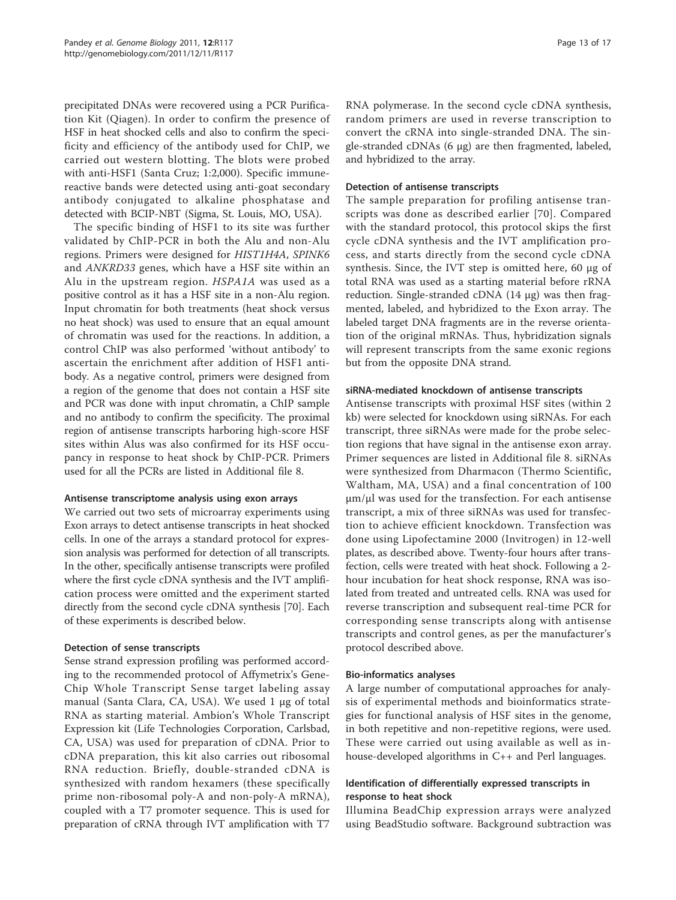precipitated DNAs were recovered using a PCR Purification Kit (Qiagen). In order to confirm the presence of HSF in heat shocked cells and also to confirm the specificity and efficiency of the antibody used for ChIP, we carried out western blotting. The blots were probed with anti-HSF1 (Santa Cruz; 1:2,000). Specific immunereactive bands were detected using anti-goat secondary antibody conjugated to alkaline phosphatase and detected with BCIP-NBT (Sigma, St. Louis, MO, USA).

The specific binding of HSF1 to its site was further validated by ChIP-PCR in both the Alu and non-Alu regions. Primers were designed for HIST1H4A, SPINK6 and ANKRD33 genes, which have a HSF site within an Alu in the upstream region. HSPA1A was used as a positive control as it has a HSF site in a non-Alu region. Input chromatin for both treatments (heat shock versus no heat shock) was used to ensure that an equal amount of chromatin was used for the reactions. In addition, a control ChIP was also performed 'without antibody' to ascertain the enrichment after addition of HSF1 antibody. As a negative control, primers were designed from a region of the genome that does not contain a HSF site and PCR was done with input chromatin, a ChIP sample and no antibody to confirm the specificity. The proximal region of antisense transcripts harboring high-score HSF sites within Alus was also confirmed for its HSF occupancy in response to heat shock by ChIP-PCR. Primers used for all the PCRs are listed in Additional file [8.](#page-14-0)

#### Antisense transcriptome analysis using exon arrays

We carried out two sets of microarray experiments using Exon arrays to detect antisense transcripts in heat shocked cells. In one of the arrays a standard protocol for expression analysis was performed for detection of all transcripts. In the other, specifically antisense transcripts were profiled where the first cycle cDNA synthesis and the IVT amplification process were omitted and the experiment started directly from the second cycle cDNA synthesis [\[70\]](#page-16-0). Each of these experiments is described below.

#### Detection of sense transcripts

Sense strand expression profiling was performed according to the recommended protocol of Affymetrix's Gene-Chip Whole Transcript Sense target labeling assay manual (Santa Clara, CA, USA). We used 1 μg of total RNA as starting material. Ambion's Whole Transcript Expression kit (Life Technologies Corporation, Carlsbad, CA, USA) was used for preparation of cDNA. Prior to cDNA preparation, this kit also carries out ribosomal RNA reduction. Briefly, double-stranded cDNA is synthesized with random hexamers (these specifically prime non-ribosomal poly-A and non-poly-A mRNA), coupled with a T7 promoter sequence. This is used for preparation of cRNA through IVT amplification with T7 Page 13 of 17

RNA polymerase. In the second cycle cDNA synthesis, random primers are used in reverse transcription to convert the cRNA into single-stranded DNA. The single-stranded cDNAs (6 μg) are then fragmented, labeled, and hybridized to the array.

#### Detection of antisense transcripts

The sample preparation for profiling antisense transcripts was done as described earlier [[70](#page-16-0)]. Compared with the standard protocol, this protocol skips the first cycle cDNA synthesis and the IVT amplification process, and starts directly from the second cycle cDNA synthesis. Since, the IVT step is omitted here, 60 μg of total RNA was used as a starting material before rRNA reduction. Single-stranded cDNA (14 μg) was then fragmented, labeled, and hybridized to the Exon array. The labeled target DNA fragments are in the reverse orientation of the original mRNAs. Thus, hybridization signals will represent transcripts from the same exonic regions but from the opposite DNA strand.

#### siRNA-mediated knockdown of antisense transcripts

Antisense transcripts with proximal HSF sites (within 2 kb) were selected for knockdown using siRNAs. For each transcript, three siRNAs were made for the probe selection regions that have signal in the antisense exon array. Primer sequences are listed in Additional file [8](#page-14-0). siRNAs were synthesized from Dharmacon (Thermo Scientific, Waltham, MA, USA) and a final concentration of 100 μm/μl was used for the transfection. For each antisense transcript, a mix of three siRNAs was used for transfection to achieve efficient knockdown. Transfection was done using Lipofectamine 2000 (Invitrogen) in 12-well plates, as described above. Twenty-four hours after transfection, cells were treated with heat shock. Following a 2 hour incubation for heat shock response, RNA was isolated from treated and untreated cells. RNA was used for reverse transcription and subsequent real-time PCR for corresponding sense transcripts along with antisense transcripts and control genes, as per the manufacturer's protocol described above.

#### Bio-informatics analyses

A large number of computational approaches for analysis of experimental methods and bioinformatics strategies for functional analysis of HSF sites in the genome, in both repetitive and non-repetitive regions, were used. These were carried out using available as well as inhouse-developed algorithms in C++ and Perl languages.

## Identification of differentially expressed transcripts in response to heat shock

Illumina BeadChip expression arrays were analyzed using BeadStudio software. Background subtraction was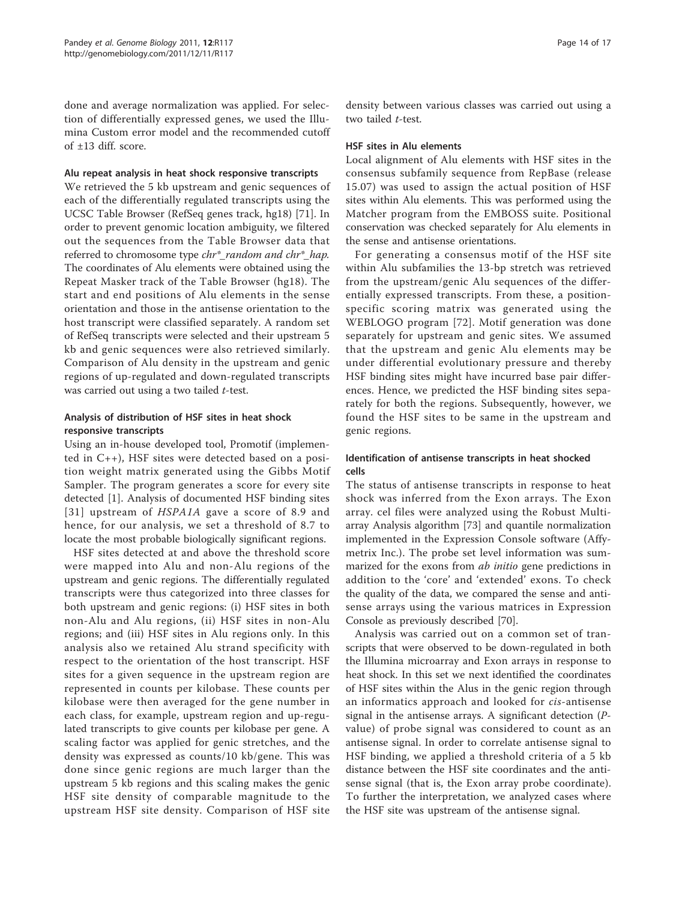done and average normalization was applied. For selection of differentially expressed genes, we used the Illumina Custom error model and the recommended cutoff of ±13 diff. score.

#### Alu repeat analysis in heat shock responsive transcripts

We retrieved the 5 kb upstream and genic sequences of each of the differentially regulated transcripts using the UCSC Table Browser (RefSeq genes track, hg18) [[71](#page-16-0)]. In order to prevent genomic location ambiguity, we filtered out the sequences from the Table Browser data that referred to chromosome type chr\*\_random and chr\*\_hap. The coordinates of Alu elements were obtained using the Repeat Masker track of the Table Browser (hg18). The start and end positions of Alu elements in the sense orientation and those in the antisense orientation to the host transcript were classified separately. A random set of RefSeq transcripts were selected and their upstream 5 kb and genic sequences were also retrieved similarly. Comparison of Alu density in the upstream and genic regions of up-regulated and down-regulated transcripts was carried out using a two tailed t-test.

#### Analysis of distribution of HSF sites in heat shock responsive transcripts

Using an in-house developed tool, Promotif (implemented in C++), HSF sites were detected based on a position weight matrix generated using the Gibbs Motif Sampler. The program generates a score for every site detected [\[1](#page-14-0)]. Analysis of documented HSF binding sites [[31](#page-15-0)] upstream of HSPA1A gave a score of 8.9 and hence, for our analysis, we set a threshold of 8.7 to locate the most probable biologically significant regions.

HSF sites detected at and above the threshold score were mapped into Alu and non-Alu regions of the upstream and genic regions. The differentially regulated transcripts were thus categorized into three classes for both upstream and genic regions: (i) HSF sites in both non-Alu and Alu regions, (ii) HSF sites in non-Alu regions; and (iii) HSF sites in Alu regions only. In this analysis also we retained Alu strand specificity with respect to the orientation of the host transcript. HSF sites for a given sequence in the upstream region are represented in counts per kilobase. These counts per kilobase were then averaged for the gene number in each class, for example, upstream region and up-regulated transcripts to give counts per kilobase per gene. A scaling factor was applied for genic stretches, and the density was expressed as counts/10 kb/gene. This was done since genic regions are much larger than the upstream 5 kb regions and this scaling makes the genic HSF site density of comparable magnitude to the upstream HSF site density. Comparison of HSF site

density between various classes was carried out using a two tailed t-test.

#### HSF sites in Alu elements

Local alignment of Alu elements with HSF sites in the consensus subfamily sequence from RepBase (release 15.07) was used to assign the actual position of HSF sites within Alu elements. This was performed using the Matcher program from the EMBOSS suite. Positional conservation was checked separately for Alu elements in the sense and antisense orientations.

For generating a consensus motif of the HSF site within Alu subfamilies the 13-bp stretch was retrieved from the upstream/genic Alu sequences of the differentially expressed transcripts. From these, a positionspecific scoring matrix was generated using the WEBLOGO program [[72\]](#page-16-0). Motif generation was done separately for upstream and genic sites. We assumed that the upstream and genic Alu elements may be under differential evolutionary pressure and thereby HSF binding sites might have incurred base pair differences. Hence, we predicted the HSF binding sites separately for both the regions. Subsequently, however, we found the HSF sites to be same in the upstream and genic regions.

# Identification of antisense transcripts in heat shocked cells

The status of antisense transcripts in response to heat shock was inferred from the Exon arrays. The Exon array. cel files were analyzed using the Robust Multiarray Analysis algorithm [\[73](#page-16-0)] and quantile normalization implemented in the Expression Console software (Affymetrix Inc.). The probe set level information was summarized for the exons from *ab initio* gene predictions in addition to the 'core' and 'extended' exons. To check the quality of the data, we compared the sense and antisense arrays using the various matrices in Expression Console as previously described [[70](#page-16-0)].

Analysis was carried out on a common set of transcripts that were observed to be down-regulated in both the Illumina microarray and Exon arrays in response to heat shock. In this set we next identified the coordinates of HSF sites within the Alus in the genic region through an informatics approach and looked for cis-antisense signal in the antisense arrays. A significant detection (Pvalue) of probe signal was considered to count as an antisense signal. In order to correlate antisense signal to HSF binding, we applied a threshold criteria of a 5 kb distance between the HSF site coordinates and the antisense signal (that is, the Exon array probe coordinate). To further the interpretation, we analyzed cases where the HSF site was upstream of the antisense signal.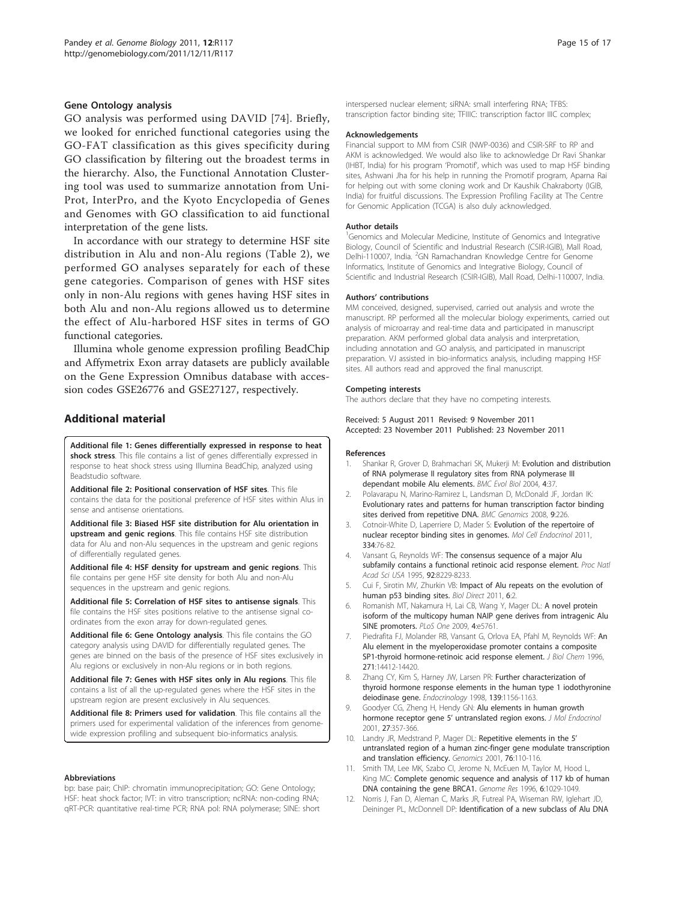#### <span id="page-14-0"></span>Gene Ontology analysis

GO analysis was performed using DAVID [[74](#page-16-0)]. Briefly, we looked for enriched functional categories using the GO-FAT classification as this gives specificity during GO classification by filtering out the broadest terms in the hierarchy. Also, the Functional Annotation Clustering tool was used to summarize annotation from Uni-Prot, InterPro, and the Kyoto Encyclopedia of Genes and Genomes with GO classification to aid functional interpretation of the gene lists.

In accordance with our strategy to determine HSF site distribution in Alu and non-Alu regions (Table [2\)](#page-4-0), we performed GO analyses separately for each of these gene categories. Comparison of genes with HSF sites only in non-Alu regions with genes having HSF sites in both Alu and non-Alu regions allowed us to determine the effect of Alu-harbored HSF sites in terms of GO functional categories.

Illumina whole genome expression profiling BeadChip and Affymetrix Exon array datasets are publicly available on the Gene Expression Omnibus database with accession codes GSE26776 and GSE27127, respectively.

#### Additional material

[Additional file 1: G](http://www.biomedcentral.com/content/supplementary/gb-2011-12-11-r117-S1.XLS)enes differentially expressed in response to heat shock stress. This file contains a list of genes differentially expressed in response to heat shock stress using Illumina BeadChip, analyzed using Beadstudio software.

[Additional file 2: P](http://www.biomedcentral.com/content/supplementary/gb-2011-12-11-r117-S2.XLS)ositional conservation of HSF sites. This file contains the data for the positional preference of HSF sites within Alus in sense and antisense orientations.

[Additional file 3: B](http://www.biomedcentral.com/content/supplementary/gb-2011-12-11-r117-S3.XLS)iased HSF site distribution for Alu orientation in upstream and genic regions. This file contains HSF site distribution data for Alu and non-Alu sequences in the upstream and genic regions of differentially regulated genes.

[Additional file 4: H](http://www.biomedcentral.com/content/supplementary/gb-2011-12-11-r117-S4.XLS)SF density for upstream and genic regions. This file contains per gene HSF site density for both Alu and non-Alu sequences in the upstream and genic regions.

[Additional file 5: C](http://www.biomedcentral.com/content/supplementary/gb-2011-12-11-r117-S5.XLS)orrelation of HSF sites to antisense signals. This file contains the HSF sites positions relative to the antisense signal coordinates from the exon array for down-regulated genes.

[Additional file 6: G](http://www.biomedcentral.com/content/supplementary/gb-2011-12-11-r117-S6.XLS)ene Ontology analysis. This file contains the GO category analysis using DAVID for differentially regulated genes. The genes are binned on the basis of the presence of HSF sites exclusively in Alu regions or exclusively in non-Alu regions or in both regions.

[Additional file 7: G](http://www.biomedcentral.com/content/supplementary/gb-2011-12-11-r117-S7.XLS)enes with HSF sites only in Alu regions. This file contains a list of all the up-regulated genes where the HSF sites in the upstream region are present exclusively in Alu sequences.

[Additional file 8: P](http://www.biomedcentral.com/content/supplementary/gb-2011-12-11-r117-S8.XLS)rimers used for validation. This file contains all the primers used for experimental validation of the inferences from genomewide expression profiling and subsequent bio-informatics analysis.

#### Abbreviations

bp: base pair; ChIP: chromatin immunoprecipitation; GO: Gene Ontology; HSF: heat shock factor; IVT: in vitro transcription; ncRNA: non-coding RNA; qRT-PCR: quantitative real-time PCR; RNA pol: RNA polymerase; SINE: short interspersed nuclear element; siRNA: small interfering RNA; TFBS: transcription factor binding site; TFIIIC: transcription factor IIIC complex;

#### Acknowledgements

Financial support to MM from CSIR (NWP-0036) and CSIR-SRF to RP and AKM is acknowledged. We would also like to acknowledge Dr Ravi Shankar (IHBT, India) for his program 'Promotif', which was used to map HSF binding sites, Ashwani Jha for his help in running the Promotif program, Aparna Rai for helping out with some cloning work and Dr Kaushik Chakraborty (IGIB, India) for fruitful discussions. The Expression Profiling Facility at The Centre for Genomic Application (TCGA) is also duly acknowledged.

#### Author details

<sup>1</sup>Genomics and Molecular Medicine, Institute of Genomics and Integrative Biology, Council of Scientific and Industrial Research (CSIR-IGIB), Mall Road, Delhi-110007, India. <sup>2</sup>GN Ramachandran Knowledge Centre for Genome Informatics, Institute of Genomics and Integrative Biology, Council of Scientific and Industrial Research (CSIR-IGIB), Mall Road, Delhi-110007, India.

#### Authors' contributions

MM conceived, designed, supervised, carried out analysis and wrote the manuscript. RP performed all the molecular biology experiments, carried out analysis of microarray and real-time data and participated in manuscript preparation. AKM performed global data analysis and interpretation, including annotation and GO analysis, and participated in manuscript preparation. VJ assisted in bio-informatics analysis, including mapping HSF sites. All authors read and approved the final manuscript.

#### Competing interests

The authors declare that they have no competing interests.

Received: 5 August 2011 Revised: 9 November 2011 Accepted: 23 November 2011 Published: 23 November 2011

#### References

- 1. Shankar R, Grover D, Brahmachari SK, Mukerji M: [Evolution and distribution](http://www.ncbi.nlm.nih.gov/pubmed/15461819?dopt=Abstract) [of RNA polymerase II regulatory sites from RNA polymerase III](http://www.ncbi.nlm.nih.gov/pubmed/15461819?dopt=Abstract) [dependant mobile Alu elements.](http://www.ncbi.nlm.nih.gov/pubmed/15461819?dopt=Abstract) BMC Evol Biol 2004, 4:37.
- 2. Polavarapu N, Marino-Ramirez L, Landsman D, McDonald JF, Jordan IK: [Evolutionary rates and patterns for human transcription factor binding](http://www.ncbi.nlm.nih.gov/pubmed/18485226?dopt=Abstract) [sites derived from repetitive DNA.](http://www.ncbi.nlm.nih.gov/pubmed/18485226?dopt=Abstract) BMC Genomics 2008, 9:226.
- 3. Cotnoir-White D, Laperriere D, Mader S: [Evolution of the repertoire of](http://www.ncbi.nlm.nih.gov/pubmed/21056084?dopt=Abstract) [nuclear receptor binding sites in genomes.](http://www.ncbi.nlm.nih.gov/pubmed/21056084?dopt=Abstract) Mol Cell Endocrinol 2011, 334:76-82.
- 4. Vansant G, Reynolds WF: [The consensus sequence of a major Alu](http://www.ncbi.nlm.nih.gov/pubmed/7667273?dopt=Abstract) [subfamily contains a functional retinoic acid response element.](http://www.ncbi.nlm.nih.gov/pubmed/7667273?dopt=Abstract) Proc Natl Acad Sci USA 1995, 92:8229-8233.
- 5. Cui F, Sirotin MV, Zhurkin VB: [Impact of Alu repeats on the evolution of](http://www.ncbi.nlm.nih.gov/pubmed/21208455?dopt=Abstract) [human p53 binding sites.](http://www.ncbi.nlm.nih.gov/pubmed/21208455?dopt=Abstract) Biol Direct 2011, 6:2.
- Romanish MT, Nakamura H, Lai CB, Wang Y, Mager DL: [A novel protein](http://www.ncbi.nlm.nih.gov/pubmed/19488400?dopt=Abstract) [isoform of the multicopy human NAIP gene derives from intragenic Alu](http://www.ncbi.nlm.nih.gov/pubmed/19488400?dopt=Abstract) [SINE promoters.](http://www.ncbi.nlm.nih.gov/pubmed/19488400?dopt=Abstract) PLoS One 2009, 4:e5761.
- 7. Piedrafita FJ, Molander RB, Vansant G, Orlova EA, Pfahl M, Reynolds WF: [An](http://www.ncbi.nlm.nih.gov/pubmed/8662930?dopt=Abstract) [Alu element in the myeloperoxidase promoter contains a composite](http://www.ncbi.nlm.nih.gov/pubmed/8662930?dopt=Abstract) [SP1-thyroid hormone-retinoic acid response element.](http://www.ncbi.nlm.nih.gov/pubmed/8662930?dopt=Abstract) J Biol Chem 1996, 271:14412-14420.
- 8. Zhang CY, Kim S, Harney JW, Larsen PR: [Further characterization of](http://www.ncbi.nlm.nih.gov/pubmed/9492050?dopt=Abstract) [thyroid hormone response elements in the human type 1 iodothyronine](http://www.ncbi.nlm.nih.gov/pubmed/9492050?dopt=Abstract) [deiodinase gene.](http://www.ncbi.nlm.nih.gov/pubmed/9492050?dopt=Abstract) Endocrinology 1998, 139:1156-1163.
- 9. Goodyer CG, Zheng H, Hendy GN: [Alu elements in human growth](http://www.ncbi.nlm.nih.gov/pubmed/11719288?dopt=Abstract) hormone receptor gene 5' [untranslated region exons.](http://www.ncbi.nlm.nih.gov/pubmed/11719288?dopt=Abstract) J Mol Endocrinol 2001, 27:357-366.
- 10. Landry JR, Medstrand P, Mager DL: [Repetitive elements in the 5](http://www.ncbi.nlm.nih.gov/pubmed/11549323?dopt=Abstract)' [untranslated region of a human zinc-finger gene modulate transcription](http://www.ncbi.nlm.nih.gov/pubmed/11549323?dopt=Abstract) [and translation efficiency.](http://www.ncbi.nlm.nih.gov/pubmed/11549323?dopt=Abstract) Genomics 2001, 76:110-116.
- 11. Smith TM, Lee MK, Szabo CI, Jerome N, McEuen M, Taylor M, Hood L, King MC: [Complete genomic sequence and analysis of 117 kb of human](http://www.ncbi.nlm.nih.gov/pubmed/8938427?dopt=Abstract) [DNA containing the gene BRCA1.](http://www.ncbi.nlm.nih.gov/pubmed/8938427?dopt=Abstract) Genome Res 1996, 6:1029-1049.
- 12. Norris J, Fan D, Aleman C, Marks JR, Futreal PA, Wiseman RW, Iglehart JD, Deininger PL, McDonnell DP: [Identification of a new subclass of Alu DNA](http://www.ncbi.nlm.nih.gov/pubmed/7559405?dopt=Abstract)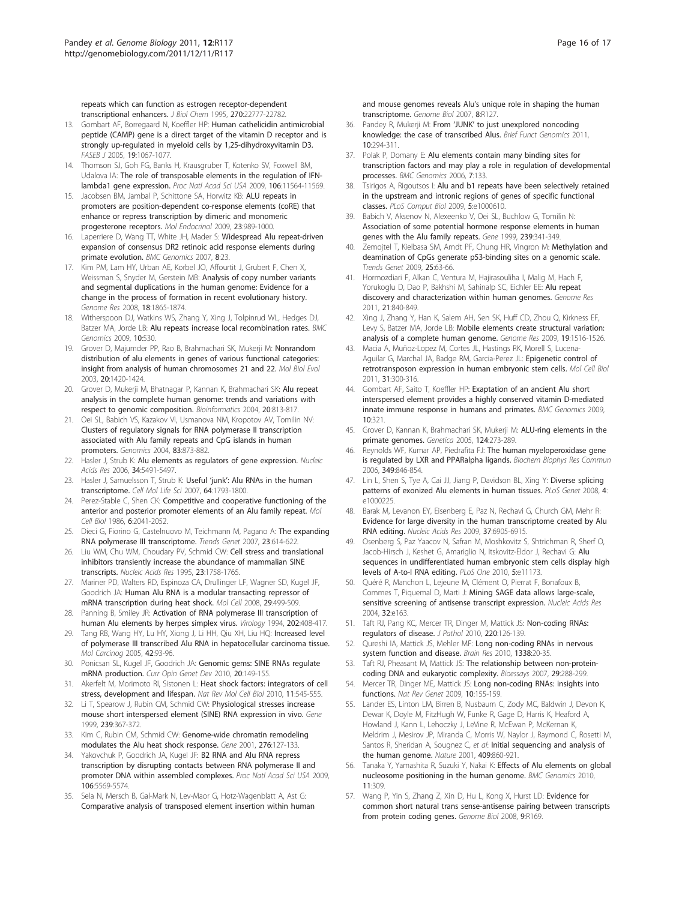<span id="page-15-0"></span>[repeats which can function as estrogen receptor-dependent](http://www.ncbi.nlm.nih.gov/pubmed/7559405?dopt=Abstract) [transcriptional enhancers.](http://www.ncbi.nlm.nih.gov/pubmed/7559405?dopt=Abstract) J Biol Chem 1995, 270:22777-22782.

- 13. Gombart AF, Borregaard N, Koeffler HP: [Human cathelicidin antimicrobial](http://www.ncbi.nlm.nih.gov/pubmed/15985530?dopt=Abstract) [peptide \(CAMP\) gene is a direct target of the vitamin D receptor and is](http://www.ncbi.nlm.nih.gov/pubmed/15985530?dopt=Abstract) [strongly up-regulated in myeloid cells by 1,25-dihydroxyvitamin D3.](http://www.ncbi.nlm.nih.gov/pubmed/15985530?dopt=Abstract) FASEB J 2005, 19:1067-1077.
- 14. Thomson SJ, Goh FG, Banks H, Krausgruber T, Kotenko SV, Foxwell BM, Udalova IA: [The role of transposable elements in the regulation of IFN](http://www.ncbi.nlm.nih.gov/pubmed/19570999?dopt=Abstract)[lambda1 gene expression.](http://www.ncbi.nlm.nih.gov/pubmed/19570999?dopt=Abstract) Proc Natl Acad Sci USA 2009, 106:11564-11569.
- 15. Jacobsen BM, Jambal P, Schittone SA, Horwitz KB: [ALU repeats in](http://www.ncbi.nlm.nih.gov/pubmed/19372234?dopt=Abstract) [promoters are position-dependent co-response elements \(coRE\) that](http://www.ncbi.nlm.nih.gov/pubmed/19372234?dopt=Abstract) [enhance or repress transcription by dimeric and monomeric](http://www.ncbi.nlm.nih.gov/pubmed/19372234?dopt=Abstract) [progesterone receptors.](http://www.ncbi.nlm.nih.gov/pubmed/19372234?dopt=Abstract) Mol Endocrinol 2009, 23:989-1000.
- 16. Laperriere D, Wang TT, White JH, Mader S: [Widespread Alu repeat-driven](http://www.ncbi.nlm.nih.gov/pubmed/17239240?dopt=Abstract) [expansion of consensus DR2 retinoic acid response elements during](http://www.ncbi.nlm.nih.gov/pubmed/17239240?dopt=Abstract) [primate evolution.](http://www.ncbi.nlm.nih.gov/pubmed/17239240?dopt=Abstract) BMC Genomics 2007, 8:23.
- 17. Kim PM, Lam HY, Urban AE, Korbel JO, Affourtit J, Grubert F, Chen X, Weissman S, Snyder M, Gerstein MB: [Analysis of copy number variants](http://www.ncbi.nlm.nih.gov/pubmed/18842824?dopt=Abstract) [and segmental duplications in the human genome: Evidence for a](http://www.ncbi.nlm.nih.gov/pubmed/18842824?dopt=Abstract) [change in the process of formation in recent evolutionary history.](http://www.ncbi.nlm.nih.gov/pubmed/18842824?dopt=Abstract) Genome Res 2008, 18:1865-1874.
- 18. Witherspoon DJ, Watkins WS, Zhang Y, Xing J, Tolpinrud WL, Hedges DJ, Batzer MA, Jorde LB: [Alu repeats increase local recombination rates.](http://www.ncbi.nlm.nih.gov/pubmed/19917129?dopt=Abstract) BMC Genomics 2009, 10:530.
- 19. Grover D, Majumder PP, Rao B, Brahmachari SK, Mukerij M: [Nonrandom](http://www.ncbi.nlm.nih.gov/pubmed/12832639?dopt=Abstract) [distribution of alu elements in genes of various functional categories:](http://www.ncbi.nlm.nih.gov/pubmed/12832639?dopt=Abstract) [insight from analysis of human chromosomes 21 and 22.](http://www.ncbi.nlm.nih.gov/pubmed/12832639?dopt=Abstract) Mol Biol Evol 2003, 20:1420-1424.
- 20. Grover D, Mukerji M, Bhatnagar P, Kannan K, Brahmachari SK: [Alu repeat](http://www.ncbi.nlm.nih.gov/pubmed/14751968?dopt=Abstract) [analysis in the complete human genome: trends and variations with](http://www.ncbi.nlm.nih.gov/pubmed/14751968?dopt=Abstract) [respect to genomic composition.](http://www.ncbi.nlm.nih.gov/pubmed/14751968?dopt=Abstract) Bioinformatics 2004, 20:813-817.
- 21. Oei SL, Babich VS, Kazakov VI, Usmanova NM, Kropotov AV, Tomilin NV: [Clusters of regulatory signals for RNA polymerase II transcription](http://www.ncbi.nlm.nih.gov/pubmed/15081116?dopt=Abstract) [associated with Alu family repeats and CpG islands in human](http://www.ncbi.nlm.nih.gov/pubmed/15081116?dopt=Abstract) [promoters.](http://www.ncbi.nlm.nih.gov/pubmed/15081116?dopt=Abstract) Genomics 2004, 83:873-882.
- 22. Hasler J, Strub K: [Alu elements as regulators of gene expression.](http://www.ncbi.nlm.nih.gov/pubmed/17020921?dopt=Abstract) Nucleic Acids Res 2006, 34:5491-5497.
- 23. Hasler J, Samuelsson T, Strub K: Useful 'junk'[: Alu RNAs in the human](http://www.ncbi.nlm.nih.gov/pubmed/17514354?dopt=Abstract) [transcriptome.](http://www.ncbi.nlm.nih.gov/pubmed/17514354?dopt=Abstract) Cell Mol Life Sci 2007, 64:1793-1800.
- 24. Perez-Stable C, Shen CK: [Competitive and cooperative functioning of the](http://www.ncbi.nlm.nih.gov/pubmed/3023916?dopt=Abstract) [anterior and posterior promoter elements of an Alu family repeat.](http://www.ncbi.nlm.nih.gov/pubmed/3023916?dopt=Abstract) Mol Cell Biol 1986, 6:2041-2052.
- 25. Dieci G, Fiorino G, Castelnuovo M, Teichmann M, Pagano A: [The expanding](http://www.ncbi.nlm.nih.gov/pubmed/17977614?dopt=Abstract) [RNA polymerase III transcriptome.](http://www.ncbi.nlm.nih.gov/pubmed/17977614?dopt=Abstract) Trends Genet 2007, 23:614-622.
- 26. Liu WM, Chu WM, Choudary PV, Schmid CW: [Cell stress and translational](http://www.ncbi.nlm.nih.gov/pubmed/7784180?dopt=Abstract) [inhibitors transiently increase the abundance of mammalian SINE](http://www.ncbi.nlm.nih.gov/pubmed/7784180?dopt=Abstract) [transcripts.](http://www.ncbi.nlm.nih.gov/pubmed/7784180?dopt=Abstract) Nucleic Acids Res 1995, 23:1758-1765.
- 27. Mariner PD, Walters RD, Espinoza CA, Drullinger LF, Wagner SD, Kugel JF, Goodrich JA: [Human Alu RNA is a modular transacting repressor of](http://www.ncbi.nlm.nih.gov/pubmed/18313387?dopt=Abstract) [mRNA transcription during heat shock.](http://www.ncbi.nlm.nih.gov/pubmed/18313387?dopt=Abstract) Mol Cell 2008, 29:499-509.
- 28. Panning B, Smiley JR: [Activation of RNA polymerase III transcription of](http://www.ncbi.nlm.nih.gov/pubmed/8009851?dopt=Abstract) [human Alu elements by herpes simplex virus.](http://www.ncbi.nlm.nih.gov/pubmed/8009851?dopt=Abstract) Virology 1994, 202:408-417.
- 29. Tang RB, Wang HY, Lu HY, Xiong J, Li HH, Qiu XH, Liu HQ: [Increased level](http://www.ncbi.nlm.nih.gov/pubmed/15593371?dopt=Abstract) [of polymerase III transcribed Alu RNA in hepatocellular carcinoma tissue.](http://www.ncbi.nlm.nih.gov/pubmed/15593371?dopt=Abstract) Mol Carcinog 2005, 42:93-96.
- 30. Ponicsan SL, Kugel JF, Goodrich JA: [Genomic gems: SINE RNAs regulate](http://www.ncbi.nlm.nih.gov/pubmed/20176473?dopt=Abstract) [mRNA production.](http://www.ncbi.nlm.nih.gov/pubmed/20176473?dopt=Abstract) Curr Opin Genet Dev 2010, 20:149-155.
- 31. Akerfelt M, Morimoto RI, Sistonen L: [Heat shock factors: integrators of cell](http://www.ncbi.nlm.nih.gov/pubmed/20628411?dopt=Abstract) [stress, development and lifespan.](http://www.ncbi.nlm.nih.gov/pubmed/20628411?dopt=Abstract) Nat Rev Mol Cell Biol 2010, 11:545-555.
- 32. Li T, Spearow J, Rubin CM, Schmid CW: [Physiological stresses increase](http://www.ncbi.nlm.nih.gov/pubmed/10548739?dopt=Abstract) [mouse short interspersed element \(SINE\) RNA expression in vivo.](http://www.ncbi.nlm.nih.gov/pubmed/10548739?dopt=Abstract) Gene 1999, 239:367-372.
- 33. Kim C, Rubin CM, Schmid CW: [Genome-wide chromatin remodeling](http://www.ncbi.nlm.nih.gov/pubmed/11591479?dopt=Abstract) [modulates the Alu heat shock response.](http://www.ncbi.nlm.nih.gov/pubmed/11591479?dopt=Abstract) Gene 2001, 276:127-133.
- 34. Yakovchuk P, Goodrich JA, Kugel JF: [B2 RNA and Alu RNA repress](http://www.ncbi.nlm.nih.gov/pubmed/19307572?dopt=Abstract) [transcription by disrupting contacts between RNA polymerase II and](http://www.ncbi.nlm.nih.gov/pubmed/19307572?dopt=Abstract) [promoter DNA within assembled complexes.](http://www.ncbi.nlm.nih.gov/pubmed/19307572?dopt=Abstract) Proc Natl Acad Sci USA 2009, 106:5569-5574.
- 35. Sela N, Mersch B, Gal-Mark N, Lev-Maor G, Hotz-Wagenblatt A, Ast G: [Comparative analysis of transposed element insertion within human](http://www.ncbi.nlm.nih.gov/pubmed/17594509?dopt=Abstract)

and mouse genomes reveals Alu'[s unique role in shaping the human](http://www.ncbi.nlm.nih.gov/pubmed/17594509?dopt=Abstract) [transcriptome.](http://www.ncbi.nlm.nih.gov/pubmed/17594509?dopt=Abstract) Genome Biol 2007, 8:R127.

- 36. Pandey R, Mukerji M: From 'JUNK' [to just unexplored noncoding](http://www.ncbi.nlm.nih.gov/pubmed/21987713?dopt=Abstract) [knowledge: the case of transcribed Alus.](http://www.ncbi.nlm.nih.gov/pubmed/21987713?dopt=Abstract) Brief Funct Genomics 2011, 10:294-311.
- 37. Polak P, Domany E: [Alu elements contain many binding sites for](http://www.ncbi.nlm.nih.gov/pubmed/16740159?dopt=Abstract) [transcription factors and may play a role in regulation of developmental](http://www.ncbi.nlm.nih.gov/pubmed/16740159?dopt=Abstract) [processes.](http://www.ncbi.nlm.nih.gov/pubmed/16740159?dopt=Abstract) BMC Genomics 2006, 7:133.
- Tsirigos A, Rigoutsos I: [Alu and b1 repeats have been selectively retained](http://www.ncbi.nlm.nih.gov/pubmed/20019790?dopt=Abstract) [in the upstream and intronic regions of genes of specific functional](http://www.ncbi.nlm.nih.gov/pubmed/20019790?dopt=Abstract) [classes.](http://www.ncbi.nlm.nih.gov/pubmed/20019790?dopt=Abstract) PLoS Comput Biol 2009, 5:e1000610.
- 39. Babich V, Aksenov N, Alexeenko V, Oei SL, Buchlow G, Tomilin N: [Association of some potential hormone response elements in human](http://www.ncbi.nlm.nih.gov/pubmed/10548736?dopt=Abstract) [genes with the Alu family repeats.](http://www.ncbi.nlm.nih.gov/pubmed/10548736?dopt=Abstract) Gene 1999, 239:341-349.
- 40. Zemojtel T, Kielbasa SM, Arndt PF, Chung HR, Vingron M: [Methylation and](http://www.ncbi.nlm.nih.gov/pubmed/19101055?dopt=Abstract) [deamination of CpGs generate p53-binding sites on a genomic scale.](http://www.ncbi.nlm.nih.gov/pubmed/19101055?dopt=Abstract) Trends Genet 2009, 25:63-66.
- 41. Hormozdiari F, Alkan C, Ventura M, Hajirasouliha I, Malig M, Hach F, Yorukoglu D, Dao P, Bakhshi M, Sahinalp SC, Eichler EE: [Alu repeat](http://www.ncbi.nlm.nih.gov/pubmed/21131385?dopt=Abstract) [discovery and characterization within human genomes.](http://www.ncbi.nlm.nih.gov/pubmed/21131385?dopt=Abstract) Genome Res 2011, 21:840-849.
- 42. Xing J, Zhang Y, Han K, Salem AH, Sen SK, Huff CD, Zhou Q, Kirkness EF, Levy S, Batzer MA, Jorde LB: [Mobile elements create structural variation:](http://www.ncbi.nlm.nih.gov/pubmed/19439515?dopt=Abstract) [analysis of a complete human genome.](http://www.ncbi.nlm.nih.gov/pubmed/19439515?dopt=Abstract) Genome Res 2009, 19:1516-1526.
- 43. Macia A, Muñoz-Lopez M, Cortes JL, Hastings RK, Morell S, Lucena-Aguilar G, Marchal JA, Badge RM, Garcia-Perez JL: [Epigenetic control of](http://www.ncbi.nlm.nih.gov/pubmed/21041477?dopt=Abstract) [retrotransposon expression in human embryonic stem cells.](http://www.ncbi.nlm.nih.gov/pubmed/21041477?dopt=Abstract) Mol Cell Biol 2011, 31:300-316.
- 44. Gombart AF, Saito T, Koeffler HP: [Exaptation of an ancient Alu short](http://www.ncbi.nlm.nih.gov/pubmed/19607716?dopt=Abstract) [interspersed element provides a highly conserved vitamin D-mediated](http://www.ncbi.nlm.nih.gov/pubmed/19607716?dopt=Abstract) [innate immune response in humans and primates.](http://www.ncbi.nlm.nih.gov/pubmed/19607716?dopt=Abstract) BMC Genomics 2009, 10:321.
- 45. Grover D, Kannan K, Brahmachari SK, Mukerji M: [ALU-ring elements in the](http://www.ncbi.nlm.nih.gov/pubmed/16134339?dopt=Abstract) [primate genomes.](http://www.ncbi.nlm.nih.gov/pubmed/16134339?dopt=Abstract) Genetica 2005, 124:273-289.
- 46. Reynolds WF, Kumar AP, Piedrafita FJ: [The human myeloperoxidase gene](http://www.ncbi.nlm.nih.gov/pubmed/16956579?dopt=Abstract) [is regulated by LXR and PPARalpha ligands.](http://www.ncbi.nlm.nih.gov/pubmed/16956579?dopt=Abstract) Biochem Biophys Res Commun 2006, 349:846-854.
- 47. Lin L, Shen S, Tye A, Cai JJ, Jiang P, Davidson BL, Xing Y: [Diverse splicing](http://www.ncbi.nlm.nih.gov/pubmed/18841251?dopt=Abstract) [patterns of exonized Alu elements in human tissues.](http://www.ncbi.nlm.nih.gov/pubmed/18841251?dopt=Abstract) PLoS Genet 2008, 4: e1000225.
- 48. Barak M, Levanon EY, Eisenberg E, Paz N, Rechavi G, Church GM, Mehr R: [Evidence for large diversity in the human transcriptome created by Alu](http://www.ncbi.nlm.nih.gov/pubmed/19740767?dopt=Abstract) [RNA editing.](http://www.ncbi.nlm.nih.gov/pubmed/19740767?dopt=Abstract) Nucleic Acids Res 2009, 37:6905-6915.
- 49. Osenberg S, Paz Yaacov N, Safran M, Moshkovitz S, Shtrichman R, Sherf O, Jacob-Hirsch J, Keshet G, Amariglio N, Itskovitz-Eldor J, Rechavi G: [Alu](http://www.ncbi.nlm.nih.gov/pubmed/20574523?dopt=Abstract) [sequences in undifferentiated human embryonic stem cells display high](http://www.ncbi.nlm.nih.gov/pubmed/20574523?dopt=Abstract) [levels of A-to-I RNA editing.](http://www.ncbi.nlm.nih.gov/pubmed/20574523?dopt=Abstract) PLoS One 2010, 5:e11173.
- 50. Quéré R, Manchon L, Lejeune M, Clément O, Pierrat F, Bonafoux B, Commes T, Piquemal D, Marti J: [Mining SAGE data allows large-scale,](http://www.ncbi.nlm.nih.gov/pubmed/15561998?dopt=Abstract) [sensitive screening of antisense transcript expression.](http://www.ncbi.nlm.nih.gov/pubmed/15561998?dopt=Abstract) Nucleic Acids Res 2004, 32:e163.
- 51. Taft RJ, Pang KC, Mercer TR, Dinger M, Mattick JS: [Non-coding RNAs:](http://www.ncbi.nlm.nih.gov/pubmed/19882673?dopt=Abstract) [regulators of disease.](http://www.ncbi.nlm.nih.gov/pubmed/19882673?dopt=Abstract) J Pathol 2010, 220:126-139.
- 52. Qureshi IA, Mattick JS, Mehler MF: [Long non-coding RNAs in nervous](http://www.ncbi.nlm.nih.gov/pubmed/20380817?dopt=Abstract) [system function and disease.](http://www.ncbi.nlm.nih.gov/pubmed/20380817?dopt=Abstract) Brain Res 2010, 1338:20-35.
- 53. Taft RJ, Pheasant M, Mattick JS: [The relationship between non-protein](http://www.ncbi.nlm.nih.gov/pubmed/17295292?dopt=Abstract)[coding DNA and eukaryotic complexity.](http://www.ncbi.nlm.nih.gov/pubmed/17295292?dopt=Abstract) Bioessays 2007, 29:288-299.
- 54. Mercer TR, Dinger ME, Mattick JS: [Long non-coding RNAs: insights into](http://www.ncbi.nlm.nih.gov/pubmed/19188922?dopt=Abstract) [functions.](http://www.ncbi.nlm.nih.gov/pubmed/19188922?dopt=Abstract) Nat Rev Genet 2009, 10:155-159.
- 55. Lander ES, Linton LM, Birren B, Nusbaum C, Zody MC, Baldwin J, Devon K, Dewar K, Doyle M, FitzHugh W, Funke R, Gage D, Harris K, Heaford A, Howland J, Kann L, Lehoczky J, LeVine R, McEwan P, McKernan K, Meldrim J, Mesirov JP, Miranda C, Morris W, Naylor J, Raymond C, Rosetti M, Santos R, Sheridan A, Sougnez C, et al: [Initial sequencing and analysis of](http://www.ncbi.nlm.nih.gov/pubmed/11237011?dopt=Abstract) [the human genome.](http://www.ncbi.nlm.nih.gov/pubmed/11237011?dopt=Abstract) Nature 2001, 409:860-921.
- 56. Tanaka Y, Yamashita R, Suzuki Y, Nakai K: [Effects of Alu elements on global](http://www.ncbi.nlm.nih.gov/pubmed/20478020?dopt=Abstract) [nucleosome positioning in the human genome.](http://www.ncbi.nlm.nih.gov/pubmed/20478020?dopt=Abstract) BMC Genomics 2010, 11:309.
- 57. Wang P, Yin S, Zhang Z, Xin D, Hu L, Kong X, Hurst LD: [Evidence for](http://www.ncbi.nlm.nih.gov/pubmed/19055728?dopt=Abstract) [common short natural trans sense-antisense pairing between transcripts](http://www.ncbi.nlm.nih.gov/pubmed/19055728?dopt=Abstract) [from protein coding genes.](http://www.ncbi.nlm.nih.gov/pubmed/19055728?dopt=Abstract) Genome Biol 2008, 9:R169.